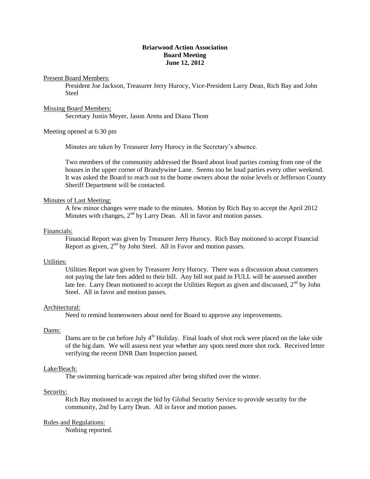# **Briarwood Action Association Board Meeting June 12, 2012**

Present Board Members:

President Joe Jackson, Treasurer Jerry Hurocy, Vice-President Larry Dean, Rich Bay and John Steel

#### Missing Board Members:

Secretary Justin Meyer, Jason Arens and Diana Thom

# Meeting opened at 6:30 pm

Minutes are taken by Treasurer Jerry Hurocy in the Secretary's absence.

Two members of the community addressed the Board about loud parties coming from one of the houses in the upper corner of Brandywine Lane. Seems too be loud parties every other weekend. It was asked the Board to reach out to the home owners about the noise levels or Jefferson County Sheriff Department will be contacted.

#### Minutes of Last Meeting:

A few minor changes were made to the minutes. Motion by Rich Bay to accept the April 2012 Minutes with changes,  $2<sup>nd</sup>$  by Larry Dean. All in favor and motion passes.

#### Financials:

Financial Report was given by Treasurer Jerry Hurocy. Rich Bay motioned to accept Financial Report as given,  $2<sup>nd</sup>$  by John Steel. All in Favor and motion passes.

#### Utilities:

Utilities Report was given by Treasurer Jerry Hurocy. There was a discussion about customers not paying the late fees added to their bill. Any bill not paid in FULL will be assessed another late fee. Larry Dean motioned to accept the Utilities Report as given and discussed,  $2^{nd}$  by John Steel. All in favor and motion passes.

## Architectural:

Need to remind homeowners about need for Board to approve any improvements.

#### Dams:

Dams are to be cut before July  $4<sup>th</sup>$  Holiday. Final loads of shot rock were placed on the lake side of the big dam. We will assess next year whether any spots need more shot rock. Received letter verifying the recent DNR Dam Inspection passed.

## Lake/Beach:

The swimming barricade was repaired after being shifted over the winter.

## Security:

Rich Bay motioned to accept the bid by Global Security Service to provide security for the community, 2nd by Larry Dean. All in favor and motion passes.

## Rules and Regulations:

Nothing reported.